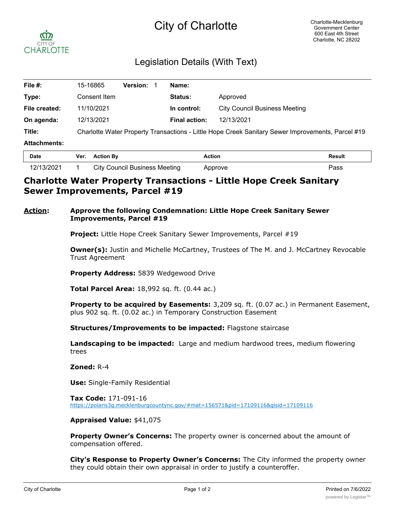# City of Charlotte



## Legislation Details (With Text)

| File #:             | 15-16865                                                                                          | <b>Version:</b> | Name:                |                                      |  |
|---------------------|---------------------------------------------------------------------------------------------------|-----------------|----------------------|--------------------------------------|--|
| Type:               | Consent Item                                                                                      |                 | Status:              | Approved                             |  |
| File created:       | 11/10/2021                                                                                        |                 | In control:          | <b>City Council Business Meeting</b> |  |
| On agenda:          | 12/13/2021                                                                                        |                 | <b>Final action:</b> | 12/13/2021                           |  |
| Title:              | Charlotte Water Property Transactions - Little Hope Creek Sanitary Sewer Improvements, Parcel #19 |                 |                      |                                      |  |
| <b>Attachments:</b> |                                                                                                   |                 |                      |                                      |  |
| - -                 | $\cdots$                                                                                          |                 | .                    |                                      |  |

| Date       | Ver. | <b>Action By</b>                     | Action  | Result |
|------------|------|--------------------------------------|---------|--------|
| 12/13/2021 |      | <b>City Council Business Meeting</b> | Approve | Pass   |

## **Charlotte Water Property Transactions - Little Hope Creek Sanitary Sewer Improvements, Parcel #19**

#### **Action: Approve the following Condemnation: Little Hope Creek Sanitary Sewer Improvements, Parcel #19**

**Project:** Little Hope Creek Sanitary Sewer Improvements, Parcel #19

**Owner(s):** Justin and Michelle McCartney, Trustees of The M. and J. McCartney Revocable Trust Agreement

**Property Address:** 5839 Wedgewood Drive

**Total Parcel Area:** 18,992 sq. ft. (0.44 ac.)

**Property to be acquired by Easements:** 3,209 sq. ft. (0.07 ac.) in Permanent Easement, plus 902 sq. ft. (0.02 ac.) in Temporary Construction Easement

**Structures/Improvements to be impacted:** Flagstone staircase

**Landscaping to be impacted:** Large and medium hardwood trees, medium flowering trees

**Zoned:** R-4

**Use:** Single-Family Residential

**Tax Code:** 171-091-16 https://polaris3g.mecklenburgcountync.gov/#mat=156571&pid=17109116&gisid=17109116

#### **Appraised Value:** \$41,075

**Property Owner's Concerns:** The property owner is concerned about the amount of compensation offered.

**City's Response to Property Owner's Concerns:** The City informed the property owner they could obtain their own appraisal in order to justify a counteroffer.